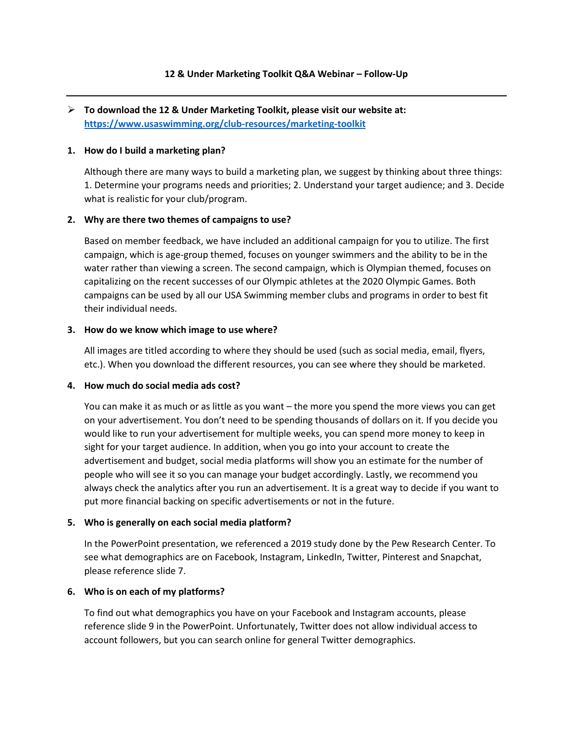# ➢ **To download the 12 & Under Marketing Toolkit, please visit our website at: <https://www.usaswimming.org/club-resources/marketing-toolkit>**

#### **1. How do I build a marketing plan?**

Although there are many ways to build a marketing plan, we suggest by thinking about three things: 1. Determine your programs needs and priorities; 2. Understand your target audience; and 3. Decide what is realistic for your club/program.

#### **2. Why are there two themes of campaigns to use?**

Based on member feedback, we have included an additional campaign for you to utilize. The first campaign, which is age-group themed, focuses on younger swimmers and the ability to be in the water rather than viewing a screen. The second campaign, which is Olympian themed, focuses on capitalizing on the recent successes of our Olympic athletes at the 2020 Olympic Games. Both campaigns can be used by all our USA Swimming member clubs and programs in order to best fit their individual needs.

#### **3. How do we know which image to use where?**

All images are titled according to where they should be used (such as social media, email, flyers, etc.). When you download the different resources, you can see where they should be marketed.

## **4. How much do social media ads cost?**

You can make it as much or as little as you want – the more you spend the more views you can get on your advertisement. You don't need to be spending thousands of dollars on it. If you decide you would like to run your advertisement for multiple weeks, you can spend more money to keep in sight for your target audience. In addition, when you go into your account to create the advertisement and budget, social media platforms will show you an estimate for the number of people who will see it so you can manage your budget accordingly. Lastly, we recommend you always check the analytics after you run an advertisement. It is a great way to decide if you want to put more financial backing on specific advertisements or not in the future.

## **5. Who is generally on each social media platform?**

In the PowerPoint presentation, we referenced a 2019 study done by the Pew Research Center. To see what demographics are on Facebook, Instagram, LinkedIn, Twitter, Pinterest and Snapchat, please reference slide 7.

## **6. Who is on each of my platforms?**

To find out what demographics you have on your Facebook and Instagram accounts, please reference slide 9 in the PowerPoint. Unfortunately, Twitter does not allow individual access to account followers, but you can search online for general Twitter demographics.